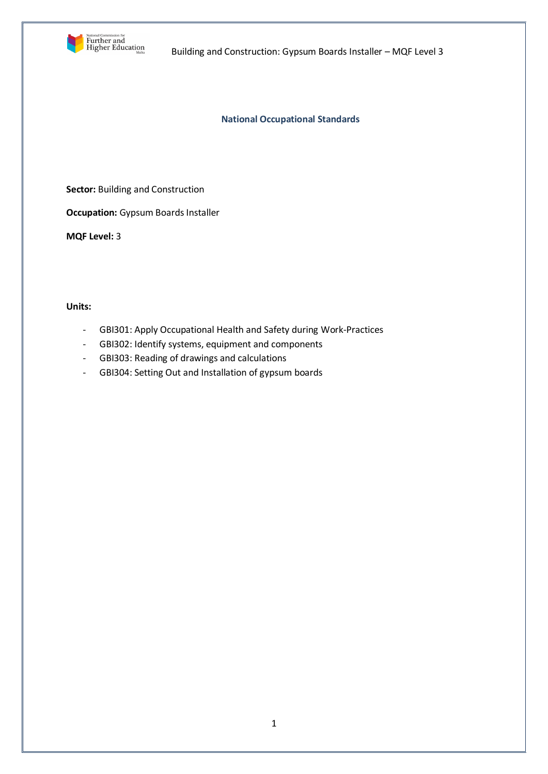

**National Occupational Standards**

**Sector:** Building and Construction

**Occupation:** Gypsum Boards Installer

**MQF Level:** 3

### **Units:**

- GBI301: Apply Occupational Health and Safety during Work-Practices
- GBI302: Identify systems, equipment and components
- GBI303: Reading of drawings and calculations
- GBI304: Setting Out and Installation of gypsum boards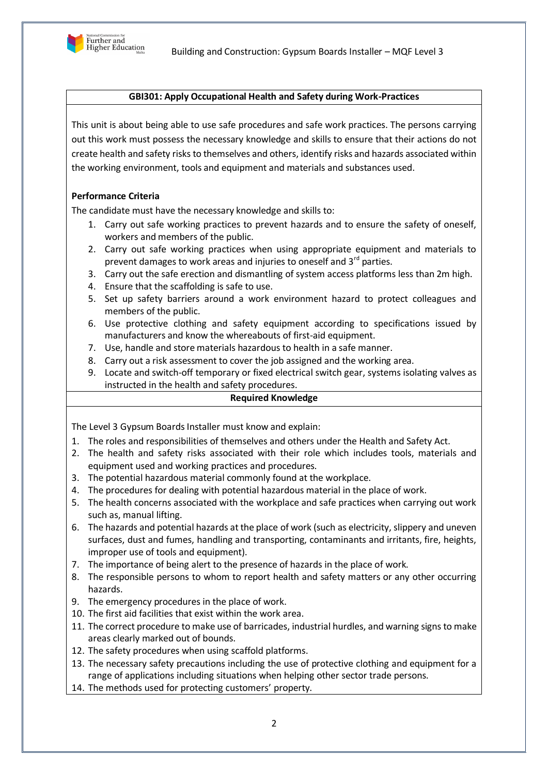

## **GBI301: Apply Occupational Health and Safety during Work-Practices**

This unit is about being able to use safe procedures and safe work practices. The persons carrying out this work must possess the necessary knowledge and skills to ensure that their actions do not create health and safety risks to themselves and others, identify risks and hazards associated within the working environment, tools and equipment and materials and substances used.

# **Performance Criteria**

The candidate must have the necessary knowledge and skills to:

- 1. Carry out safe working practices to prevent hazards and to ensure the safety of oneself, workers and members of the public.
- 2. Carry out safe working practices when using appropriate equipment and materials to prevent damages to work areas and injuries to oneself and  $3<sup>rd</sup>$  parties.
- 3. Carry out the safe erection and dismantling of system access platforms less than 2m high.
- 4. Ensure that the scaffolding is safe to use.
- 5. Set up safety barriers around a work environment hazard to protect colleagues and members of the public.
- 6. Use protective clothing and safety equipment according to specifications issued by manufacturers and know the whereabouts of first-aid equipment.
- 7. Use, handle and store materials hazardous to health in a safe manner.
- 8. Carry out a risk assessment to cover the job assigned and the working area.
- 9. Locate and switch-off temporary or fixed electrical switch gear, systems isolating valves as instructed in the health and safety procedures.

## **Required Knowledge**

The Level 3 Gypsum Boards Installer must know and explain:

- 1. The roles and responsibilities of themselves and others under the Health and Safety Act.
- 2. The health and safety risks associated with their role which includes tools, materials and equipment used and working practices and procedures.
- 3. The potential hazardous material commonly found at the workplace.
- 4. The procedures for dealing with potential hazardous material in the place of work.
- 5. The health concerns associated with the workplace and safe practices when carrying out work such as, manual lifting.
- 6. The hazards and potential hazards at the place of work (such as electricity, slippery and uneven surfaces, dust and fumes, handling and transporting, contaminants and irritants, fire, heights, improper use of tools and equipment).
- 7. The importance of being alert to the presence of hazards in the place of work.
- 8. The responsible persons to whom to report health and safety matters or any other occurring hazards.
- 9. The emergency procedures in the place of work.
- 10. The first aid facilities that exist within the work area.
- 11. The correct procedure to make use of barricades, industrial hurdles, and warning signs to make areas clearly marked out of bounds.
- 12. The safety procedures when using scaffold platforms.
- 13. The necessary safety precautions including the use of protective clothing and equipment for a range of applications including situations when helping other sector trade persons.
- 14. The methods used for protecting customers' property.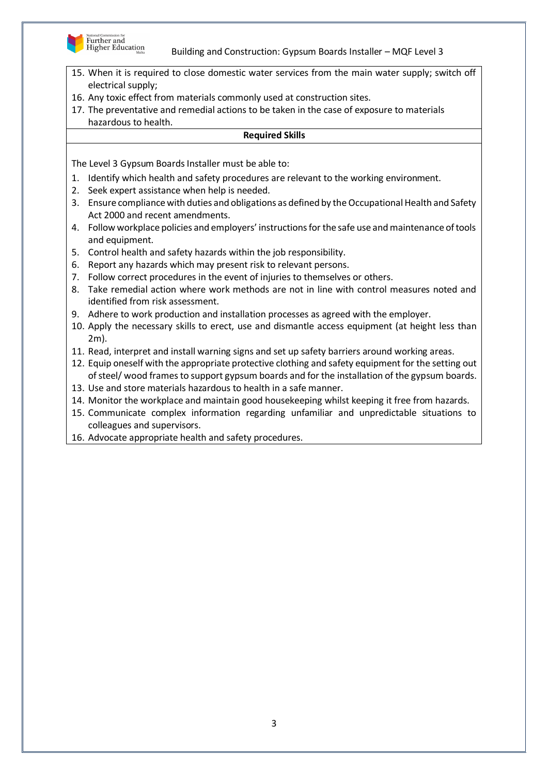

- 15. When it is required to close domestic water services from the main water supply; switch off electrical supply;
- 16. Any toxic effect from materials commonly used at construction sites.
- 17. The preventative and remedial actions to be taken in the case of exposure to materials hazardous to health.

## **Required Skills**

- 1. Identify which health and safety procedures are relevant to the working environment.
- 2. Seek expert assistance when help is needed.
- 3. Ensure compliance with duties and obligations as defined by the Occupational Health and Safety Act 2000 and recent amendments.
- 4. Follow workplace policies and employers' instructions for the safe use and maintenance of tools and equipment.
- 5. Control health and safety hazards within the job responsibility.
- 6. Report any hazards which may present risk to relevant persons.
- 7. Follow correct procedures in the event of injuries to themselves or others.
- 8. Take remedial action where work methods are not in line with control measures noted and identified from risk assessment.
- 9. Adhere to work production and installation processes as agreed with the employer.
- 10. Apply the necessary skills to erect, use and dismantle access equipment (at height less than 2m).
- 11. Read, interpret and install warning signs and set up safety barriers around working areas.
- 12. Equip oneself with the appropriate protective clothing and safety equipment for the setting out of steel/ wood frames to support gypsum boards and for the installation of the gypsum boards.
- 13. Use and store materials hazardous to health in a safe manner.
- 14. Monitor the workplace and maintain good housekeeping whilst keeping it free from hazards.
- 15. Communicate complex information regarding unfamiliar and unpredictable situations to colleagues and supervisors.
- 16. Advocate appropriate health and safety procedures.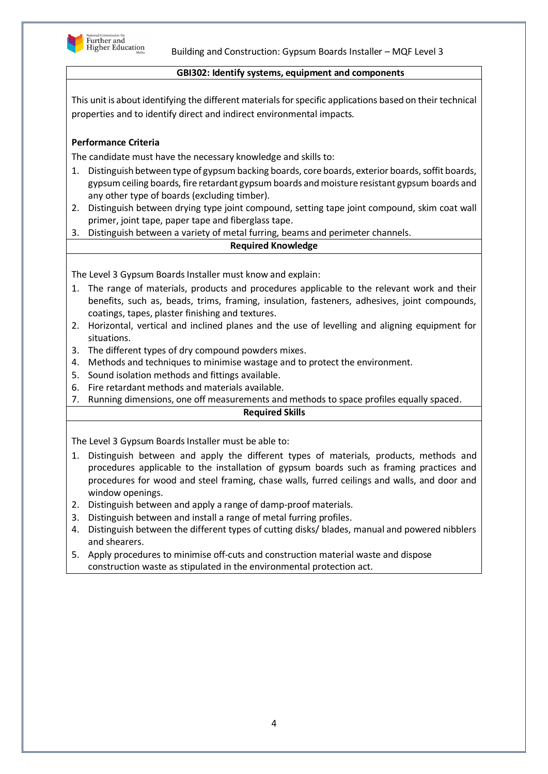

#### **GBI302: Identify systems, equipment and components**

This unit is about identifying the different materials for specific applications based on their technical properties and to identify direct and indirect environmental impacts.

## **Performance Criteria**

The candidate must have the necessary knowledge and skills to:

- 1. Distinguish between type of gypsum backing boards, core boards, exterior boards, soffit boards, gypsum ceiling boards, fire retardant gypsum boards and moisture resistant gypsum boards and any other type of boards (excluding timber).
- 2. Distinguish between drying type joint compound, setting tape joint compound, skim coat wall primer, joint tape, paper tape and fiberglass tape.
- 3. Distinguish between a variety of metal furring, beams and perimeter channels.

### **Required Knowledge**

The Level 3 Gypsum Boards Installer must know and explain:

- 1. The range of materials, products and procedures applicable to the relevant work and their benefits, such as, beads, trims, framing, insulation, fasteners, adhesives, joint compounds, coatings, tapes, plaster finishing and textures.
- 2. Horizontal, vertical and inclined planes and the use of levelling and aligning equipment for situations.
- 3. The different types of dry compound powders mixes.
- 4. Methods and techniques to minimise wastage and to protect the environment.
- 5. Sound isolation methods and fittings available.
- 6. Fire retardant methods and materials available.
- 7. Running dimensions, one off measurements and methods to space profiles equally spaced.

### **Required Skills**

- 1. Distinguish between and apply the different types of materials, products, methods and procedures applicable to the installation of gypsum boards such as framing practices and procedures for wood and steel framing, chase walls, furred ceilings and walls, and door and window openings.
- 2. Distinguish between and apply a range of damp-proof materials.
- 3. Distinguish between and install a range of metal furring profiles.
- 4. Distinguish between the different types of cutting disks/ blades, manual and powered nibblers and shearers.
- 5. Apply procedures to minimise off-cuts and construction material waste and dispose construction waste as stipulated in the environmental protection act.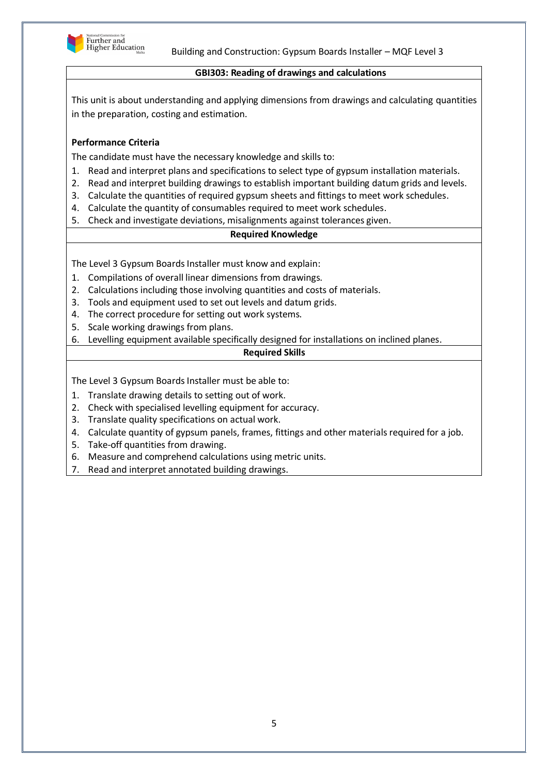

### **GBI303: Reading of drawings and calculations**

This unit is about understanding and applying dimensions from drawings and calculating quantities in the preparation, costing and estimation.

## **Performance Criteria**

The candidate must have the necessary knowledge and skills to:

- 1. Read and interpret plans and specifications to select type of gypsum installation materials.
- 2. Read and interpret building drawings to establish important building datum grids and levels.
- 3. Calculate the quantities of required gypsum sheets and fittings to meet work schedules.
- 4. Calculate the quantity of consumables required to meet work schedules.
- 5. Check and investigate deviations, misalignments against tolerances given.

# **Required Knowledge**

The Level 3 Gypsum Boards Installer must know and explain:

- 1. Compilations of overall linear dimensions from drawings.
- 2. Calculations including those involving quantities and costs of materials.
- 3. Tools and equipment used to set out levels and datum grids.
- 4. The correct procedure for setting out work systems.
- 5. Scale working drawings from plans.
- 6. Levelling equipment available specifically designed for installations on inclined planes.

# **Required Skills**

- 1. Translate drawing details to setting out of work.
- 2. Check with specialised levelling equipment for accuracy.
- 3. Translate quality specifications on actual work.
- 4. Calculate quantity of gypsum panels, frames, fittings and other materials required for a job.
- 5. Take-off quantities from drawing.
- 6. Measure and comprehend calculations using metric units.
- 7. Read and interpret annotated building drawings.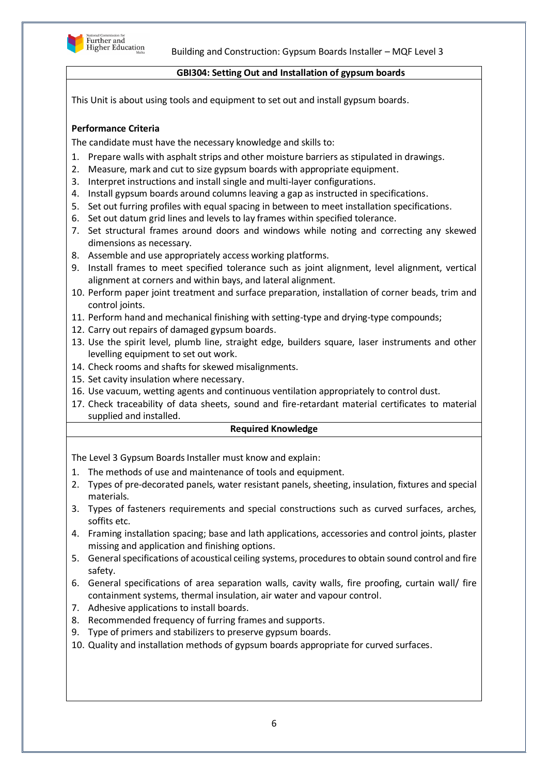

#### **GBI304: Setting Out and Installation of gypsum boards**

This Unit is about using tools and equipment to set out and install gypsum boards.

# **Performance Criteria**

The candidate must have the necessary knowledge and skills to:

- 1. Prepare walls with asphalt strips and other moisture barriers as stipulated in drawings.
- 2. Measure, mark and cut to size gypsum boards with appropriate equipment.
- 3. Interpret instructions and install single and multi-layer configurations.
- 4. Install gypsum boards around columns leaving a gap as instructed in specifications.
- 5. Set out furring profiles with equal spacing in between to meet installation specifications.
- 6. Set out datum grid lines and levels to lay frames within specified tolerance.
- 7. Set structural frames around doors and windows while noting and correcting any skewed dimensions as necessary.
- 8. Assemble and use appropriately access working platforms.
- 9. Install frames to meet specified tolerance such as joint alignment, level alignment, vertical alignment at corners and within bays, and lateral alignment.
- 10. Perform paper joint treatment and surface preparation, installation of corner beads, trim and control joints.
- 11. Perform hand and mechanical finishing with setting-type and drying-type compounds;
- 12. Carry out repairs of damaged gypsum boards.
- 13. Use the spirit level, plumb line, straight edge, builders square, laser instruments and other levelling equipment to set out work.
- 14. Check rooms and shafts for skewed misalignments.
- 15. Set cavity insulation where necessary.
- 16. Use vacuum, wetting agents and continuous ventilation appropriately to control dust.
- 17. Check traceability of data sheets, sound and fire-retardant material certificates to material supplied and installed.

## **Required Knowledge**

The Level 3 Gypsum Boards Installer must know and explain:

- 1. The methods of use and maintenance of tools and equipment.
- 2. Types of pre-decorated panels, water resistant panels, sheeting, insulation, fixtures and special materials.
- 3. Types of fasteners requirements and special constructions such as curved surfaces, arches, soffits etc.
- 4. Framing installation spacing; base and lath applications, accessories and control joints, plaster missing and application and finishing options.
- 5. General specifications of acoustical ceiling systems, procedures to obtain sound control and fire safety.
- 6. General specifications of area separation walls, cavity walls, fire proofing, curtain wall/ fire containment systems, thermal insulation, air water and vapour control.
- 7. Adhesive applications to install boards.
- 8. Recommended frequency of furring frames and supports.
- 9. Type of primers and stabilizers to preserve gypsum boards.
- 10. Quality and installation methods of gypsum boards appropriate for curved surfaces.